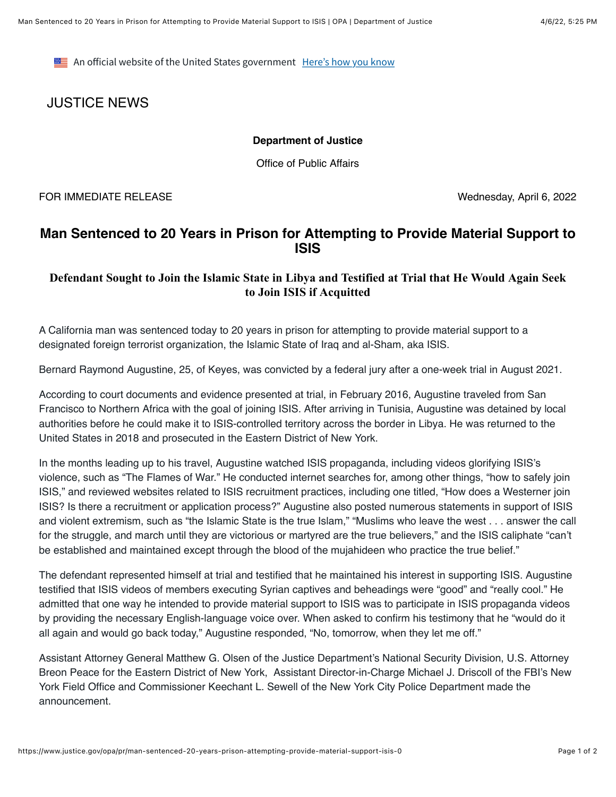**EXECUTE:** An official website of the United States government Here's how you know

# JUSTICE NEWS

#### **Department of Justice**

Office of Public Affairs

FOR IMMEDIATE RELEASE Wednesday, April 6, 2022

## **Man Sentenced to 20 Years in Prison for Attempting to Provide Material Support to ISIS**

### **Defendant Sought to Join the Islamic State in Libya and Testified at Trial that He Would Again Seek to Join ISIS if Acquitted**

A California man was sentenced today to 20 years in prison for attempting to provide material support to a designated foreign terrorist organization, the Islamic State of Iraq and al-Sham, aka ISIS.

Bernard Raymond Augustine, 25, of Keyes, was convicted by a federal jury after a one-week trial in August 2021.

According to court documents and evidence presented at trial, in February 2016, Augustine traveled from San Francisco to Northern Africa with the goal of joining ISIS. After arriving in Tunisia, Augustine was detained by local authorities before he could make it to ISIS-controlled territory across the border in Libya. He was returned to the United States in 2018 and prosecuted in the Eastern District of New York.

In the months leading up to his travel, Augustine watched ISIS propaganda, including videos glorifying ISIS's violence, such as "The Flames of War." He conducted internet searches for, among other things, "how to safely join ISIS," and reviewed websites related to ISIS recruitment practices, including one titled, "How does a Westerner join ISIS? Is there a recruitment or application process?" Augustine also posted numerous statements in support of ISIS and violent extremism, such as "the Islamic State is the true Islam," "Muslims who leave the west . . . answer the call for the struggle, and march until they are victorious or martyred are the true believers," and the ISIS caliphate "can't be established and maintained except through the blood of the mujahideen who practice the true belief."

The defendant represented himself at trial and testified that he maintained his interest in supporting ISIS. Augustine testified that ISIS videos of members executing Syrian captives and beheadings were "good" and "really cool." He admitted that one way he intended to provide material support to ISIS was to participate in ISIS propaganda videos by providing the necessary English-language voice over. When asked to confirm his testimony that he "would do it all again and would go back today," Augustine responded, "No, tomorrow, when they let me off."

Assistant Attorney General Matthew G. Olsen of the Justice Department's National Security Division, U.S. Attorney Breon Peace for the Eastern District of New York, Assistant Director-in-Charge Michael J. Driscoll of the FBI's New York Field Office and Commissioner Keechant L. Sewell of the New York City Police Department made the announcement.